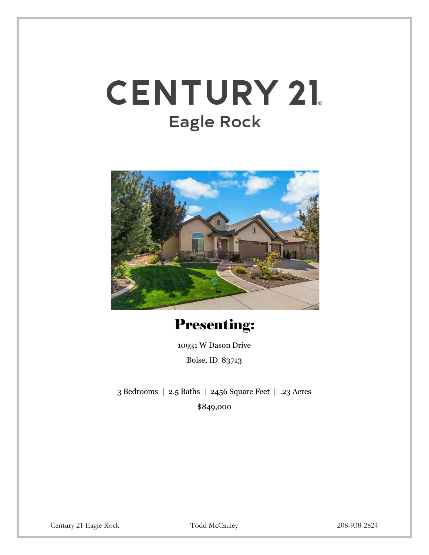## **CENTURY 21.** Eagle Rock



Presenting:

10931 W Dason Drive Boise, ID 83713

3 Bedrooms | 2.5 Baths | 2456 Square Feet | .23 Acres \$849,000